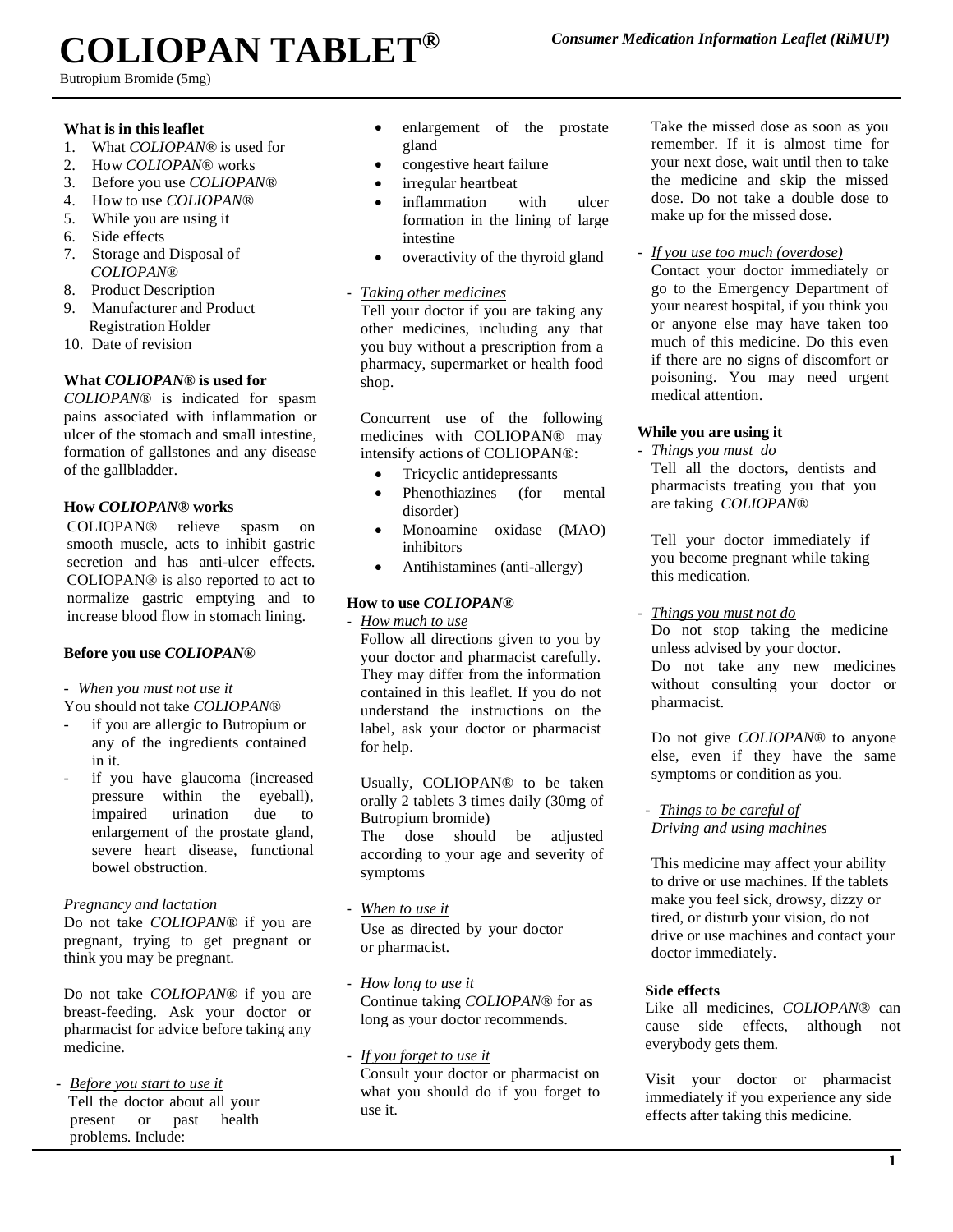# **COLIOPAN TABLET®**

Butropium Bromide (5mg)

#### **What is in this leaflet**

- 1. What *COLIOPAN®* is used for
- 2. How *COLIOPAN®* works
- 3. Before you use *COLIOPAN®*
- 4. How to use *COLIOPAN®*
- 5. While you are using it
- 6. Side effects
- 7. Storage and Disposal of *COLIOPAN®*
- 8. Product Description
- 9. Manufacturer and Product Registration Holder
- 10. Date of revision

## **What** *COLIOPAN®***is used for**

*COLIOPAN®* is indicated for spasm pains associated with inflammation or ulcer of the stomach and small intestine, formation of gallstones and any disease of the gallbladder.

## **How** *COLIOPAN®* **works**

COLIOPAN® relieve spasm on smooth muscle, acts to inhibit gastric secretion and has anti-ulcer effects. COLIOPAN® is also reported to act to normalize gastric emptying and to increase blood flow in stomach lining.

## **Before you use** *COLIOPAN®*

#### - *When you must not use it*

You should not take *COLIOPAN®*

- if you are allergic to Butropium or any of the ingredients contained in it.
- if you have glaucoma (increased pressure within the eyeball), impaired urination due to enlargement of the prostate gland, severe heart disease, functional bowel obstruction.

#### *Pregnancy and lactation*

Do not take *COLIOPAN®* if you are pregnant, trying to get pregnant or think you may be pregnant.

Do not take *COLIOPAN®* if you are breast-feeding. Ask your doctor or pharmacist for advice before taking any medicine.

- *Before you start to use it* Tell the doctor about all your present or past health problems. Include:

- enlargement of the prostate gland
- congestive heart failure
- irregular heartbeat
- inflammation with ulcer formation in the lining of large intestine
- overactivity of the thyroid gland

## - *Taking other medicines*

Tell your doctor if you are taking any other medicines, including any that you buy without a prescription from a pharmacy, supermarket or health food shop.

Concurrent use of the following medicines with COLIOPAN® may intensify actions of COLIOPAN®:

- Tricyclic antidepressants
- Phenothiazines (for mental disorder)
- Monoamine oxidase (MAO) inhibitors
- Antihistamines (anti-allergy)

## **How to use** *COLIOPAN®*

- *How much to use*

Follow all directions given to you by your doctor and pharmacist carefully. They may differ from the information contained in this leaflet. If you do not understand the instructions on the label, ask your doctor or pharmacist for help.

Usually, COLIOPAN® to be taken orally 2 tablets 3 times daily (30mg of Butropium bromide) The dose should be adjusted

according to your age and severity of symptoms

- *When to use it* Use as directed by your doctor or pharmacist.
- *How long to use it* Continue taking *COLIOPAN®* for as long as your doctor recommends.
- *If you forget to use it* Consult your doctor or pharmacist on what you should do if you forget to use it.

Take the missed dose as soon as you remember. If it is almost time for your next dose, wait until then to take the medicine and skip the missed dose. Do not take a double dose to make up for the missed dose.

- *If you use too much (overdose)*

Contact your doctor immediately or go to the Emergency Department of your nearest hospital, if you think you or anyone else may have taken too much of this medicine. Do this even if there are no signs of discomfort or poisoning. You may need urgent medical attention.

## **While you are using it**

- *Things you must do*

Tell all the doctors, dentists and pharmacists treating you that you are taking *COLIOPAN®*

Tell your doctor immediately if you become pregnant while taking this medication*.*

- *Things you must not do*

Do not stop taking the medicine unless advised by your doctor. Do not take any new medicines without consulting your doctor or pharmacist.

Do not give *COLIOPAN®* to anyone else, even if they have the same symptoms or condition as you.

- *Things to be careful of Driving and using machines* 

This medicine may affect your ability to drive or use machines. If the tablets make you feel sick, drowsy, dizzy or tired, or disturb your vision, do not drive or use machines and contact your doctor immediately.

## **Side effects**

Like all medicines, *COLIOPAN®* can cause side effects, although not everybody gets them.

Visit your doctor or pharmacist immediately if you experience any side effects after taking this medicine.